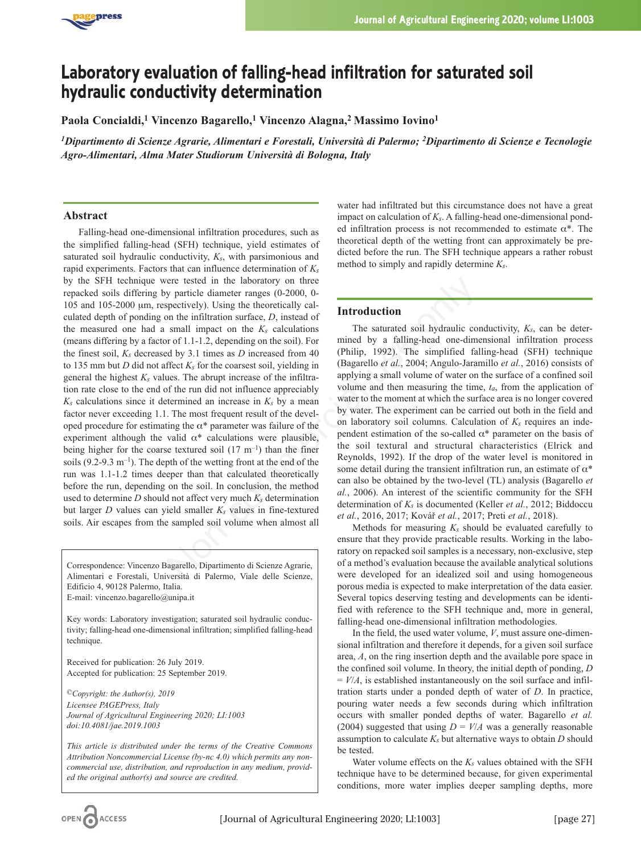

# **Laboratory evaluation of falling-head infiltration for saturated soil hydraulic conductivity determination**

**Paola Concialdi,1 Vincenzo Bagarello,1 Vincenzo Alagna,2 Massimo Iovino1**

*1Dipartimento di Scienze Agrarie, Alimentari e Forestali, Università di Palermo; 2Dipartimento di Scienze e Tecnologie Agro-Alimentari, Alma Mater Studiorum Università di Bologna, Italy*

# **Abstract**

Falling-head one-dimensional infiltration procedures, such as the simplified falling-head (SFH) technique, yield estimates of saturated soil hydraulic conductivity, *Ks*, with parsimonious and rapid experiments. Factors that can influence determination of *Ks* by the SFH technique were tested in the laboratory on three repacked soils differing by particle diameter ranges (0-2000, 0- 105 and 105-2000 µm, respectively). Using the theoretically calculated depth of ponding on the infiltration surface, *D*, instead of the measured one had a small impact on the  $K_s$  calculations (means differing by a factor of 1.1-1.2, depending on the soil). For the finest soil,  $K_s$  decreased by 3.1 times as  $D$  increased from 40 to 135 mm but *D* did not affect  $K_s$  for the coarsest soil, yielding in general the highest  $K_s$  values. The abrupt increase of the infiltration rate close to the end of the run did not influence appreciably  $K_s$  calculations since it determined an increase in  $K_s$  by a mean factor never exceeding 1.1. The most frequent result of the developed procedure for estimating the  $\alpha^*$  parameter was failure of the experiment although the valid  $\alpha^*$  calculations were plausible, being higher for the coarse textured soil  $(17 \text{ m}^{-1})$  than the finer soils  $(9.2-9.3 \text{ m}^{-1})$ . The depth of the wetting front at the end of the run was 1.1-1.2 times deeper than that calculated theoretically before the run, depending on the soil. In conclusion, the method used to determine *D* should not affect very much *Ks* determination but larger *D* values can yield smaller *Ks* values in fine-textured soils. Air escapes from the sampled soil volume when almost all ere tested in the laboratory on three<br>
ye practicle). Using the theoretically cal-<br>
prectively). Using the theoretically cal-<br>
and impact on the infiltration surface, D, instead of<br>
The staturated soil hydraulic comment i

Correspondence: Vincenzo Bagarello, Dipartimento di Scienze Agrarie, Alimentari e Forestali, Università di Palermo, Viale delle Scienze, Edificio 4, 90128 Palermo, Italia. E-mail: vincenzo.bagarello@unipa.it

Key words: Laboratory investigation; saturated soil hydraulic conductivity; falling-head one-dimensional infiltration; simplified falling-head technique.

Received for publication: 26 July 2019. Accepted for publication: 25 September 2019.

*©Copyright: the Author(s), 2019 Licensee PAGEPress, Italy Journal of Agricultural Engineering 2020; LI:1003 doi:10.4081/jae.2019.1003*

*This article is distributed under the terms of the Creative Commons Attribution Noncommercial License (by-nc 4.0) which permits any noncommercial use, distribution, and reproduction in any medium, provided the original author(s) and source are credited.*

water had infiltrated but this circumstance does not have a great impact on calculation of *Ks*. A falling-head one-dimensional ponded infiltration process is not recommended to estimate  $\alpha^*$ . The theoretical depth of the wetting front can approximately be predicted before the run. The SFH technique appears a rather robust method to simply and rapidly determine *Ks*.

# **Introduction**

The saturated soil hydraulic conductivity, *Ks*, can be determined by a falling-head one-dimensional infiltration process (Philip, 1992). The simplified falling-head (SFH) technique (Bagarello *et al.*, 2004; Angulo-Jaramillo *et al.*, 2016) consists of applying a small volume of water on the surface of a confined soil volume and then measuring the time, *ta*, from the application of water to the moment at which the surface area is no longer covered by water. The experiment can be carried out both in the field and on laboratory soil columns. Calculation of  $K_s$  requires an independent estimation of the so-called  $\alpha^*$  parameter on the basis of the soil textural and structural characteristics (Elrick and Reynolds, 1992). If the drop of the water level is monitored in some detail during the transient infiltration run, an estimate of  $\alpha^*$ can also be obtained by the two-level (TL) analysis (Bagarello *et al.*, 2006). An interest of the scientific community for the SFH determination of *Ks* is documented (Keller *et al.*, 2012; Biddoccu *et al.*, 2016, 2017; Kovář *et al.*, 2017; Preti *et al.*, 2018).

Methods for measuring  $K_s$  should be evaluated carefully to ensure that they provide practicable results. Working in the laboratory on repacked soil samples is a necessary, non-exclusive, step of a method's evaluation because the available analytical solutions were developed for an idealized soil and using homogeneous porous media is expected to make interpretation of the data easier. Several topics deserving testing and developments can be identified with reference to the SFH technique and, more in general, falling-head one-dimensional infiltration methodologies.

In the field, the used water volume, *V*, must assure one-dimensional infiltration and therefore it depends, for a given soil surface area, *A*, on the ring insertion depth and the available pore space in the confined soil volume. In theory, the initial depth of ponding, *D*  $= V/A$ , is established instantaneously on the soil surface and infiltration starts under a ponded depth of water of *D*. In practice, pouring water needs a few seconds during which infiltration occurs with smaller ponded depths of water. Bagarello *et al.* (2004) suggested that using  $D = V/A$  was a generally reasonable assumption to calculate  $K_s$  but alternative ways to obtain  $D$  should be tested.

Water volume effects on the  $K_s$  values obtained with the SFH technique have to be determined because, for given experimental conditions, more water implies deeper sampling depths, more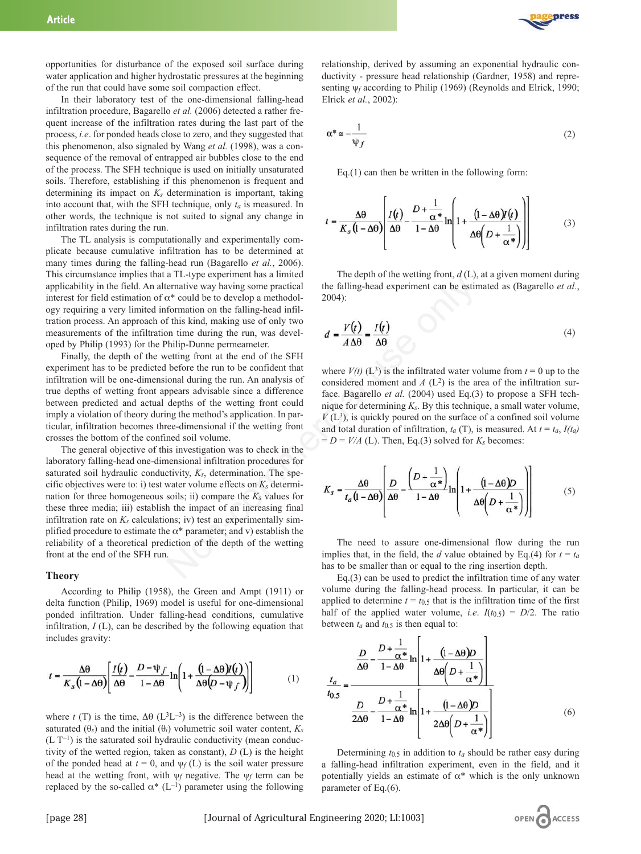

opportunities for disturbance of the exposed soil surface during water application and higher hydrostatic pressures at the beginning of the run that could have some soil compaction effect.

In their laboratory test of the one-dimensional falling-head infiltration procedure, Bagarello *et al.* (2006) detected a rather frequent increase of the infiltration rates during the last part of the process, *i.e*. for ponded heads close to zero, and they suggested that this phenomenon, also signaled by Wang *et al.* (1998), was a consequence of the removal of entrapped air bubbles close to the end of the process. The SFH technique is used on initially unsaturated soils. Therefore, establishing if this phenomenon is frequent and determining its impact on *Ks* determination is important, taking into account that, with the SFH technique, only *ta* is measured. In other words, the technique is not suited to signal any change in infiltration rates during the run.

The TL analysis is computationally and experimentally complicate because cumulative infiltration has to be determined at many times during the falling-head run (Bagarello *et al.*, 2006). This circumstance implies that a TL-type experiment has a limited applicability in the field. An alternative way having some practical interest for field estimation of  $\alpha^*$  could be to develop a methodology requiring a very limited information on the falling-head infiltration process. An approach of this kind, making use of only two measurements of the infiltration time during the run, was developed by Philip (1993) for the Philip-Dunne permeameter.

Finally, the depth of the wetting front at the end of the SFH experiment has to be predicted before the run to be confident that infiltration will be one-dimensional during the run. An analysis of true depths of wetting front appears advisable since a difference between predicted and actual depths of the wetting front could imply a violation of theory during the method's application. In particular, infiltration becomes three-dimensional if the wetting front crosses the bottom of the confined soil volume.

The general objective of this investigation was to check in the laboratory falling-head one-dimensional infiltration procedures for saturated soil hydraulic conductivity, *Ks*, determination. The specific objectives were to: i) test water volume effects on *Ks* determination for three homogeneous soils; ii) compare the *Ks* values for these three media; iii) establish the impact of an increasing final infiltration rate on  $K_s$  calculations; iv) test an experimentally simplified procedure to estimate the  $\alpha^*$  parameter; and v) establish the reliability of a theoretical prediction of the depth of the wetting front at the end of the SFH run. **Example 10**<br> **Example 10**<br> **Example 10**<br> **Example 10**<br> **Example 10**<br> **Example 10**<br> **Example 10**<br> **Example 10**<br> **Example 10**<br> **Example 10**<br> **Example 10**<br> **Example 10**<br> **Example 10**<br> **Example 10**<br> **Example 10**<br> **Example 10** 

#### **Theory**

According to Philip (1958), the Green and Ampt (1911) or delta function (Philip, 1969) model is useful for one-dimensional ponded infiltration. Under falling-head conditions, cumulative infiltration, *I* (L), can be described by the following equation that includes gravity:

$$
t = \frac{\Delta\theta}{K_s(1-\Delta\theta)} \left[ \frac{I(t)}{\Delta\theta} - \frac{D-\psi_f}{1-\Delta\theta} \ln\left(1 + \frac{(1-\Delta\theta)I(t)}{\Delta\theta(D-\psi_f)}\right) \right]
$$
(1)

where *t* (T) is the time,  $\Delta\theta$  (L<sup>3</sup>L<sup>-3</sup>) is the difference between the saturated  $(\theta_s)$  and the initial  $(\theta_i)$  volumetric soil water content,  $K_s$  $(L T^{-1})$  is the saturated soil hydraulic conductivity (mean conductivity of the wetted region, taken as constant), *D* (L) is the height of the ponded head at  $t = 0$ , and  $\psi_f(L)$  is the soil water pressure head at the wetting front, with ψ*<sup>f</sup>* negative. The ψ*<sup>f</sup>* term can be replaced by the so-called  $\alpha^*$  ( $L^{-1}$ ) parameter using the following

relationship, derived by assuming an exponential hydraulic conductivity - pressure head relationship (Gardner, 1958) and representing ψ*<sup>f</sup>* according to Philip (1969) (Reynolds and Elrick, 1990; Elrick *et al.*, 2002):

$$
\alpha^* \approx -\frac{1}{\psi_f} \tag{2}
$$

Eq.(1) can then be written in the following form:

$$
t = \frac{\Delta\theta}{K_s (1 - \Delta\theta)} \left[ \frac{I(t)}{\Delta\theta} - \frac{D + \frac{1}{\alpha^*}}{1 - \Delta\theta} \ln \left( 1 + \frac{(1 - \Delta\theta)I(t)}{\Delta\theta (D + \frac{1}{\alpha^*})} \right) \right]
$$
(3)

The depth of the wetting front, *d* (L), at a given moment during the falling-head experiment can be estimated as (Bagarello *et al.*, 2004):

$$
d = \frac{V(t)}{A \Delta \theta} = \frac{I(t)}{\Delta \theta}
$$
 (4)

where  $V(t)$  (L<sup>3</sup>) is the infiltrated water volume from  $t = 0$  up to the considered moment and  $A(L^2)$  is the area of the infiltration surface. Bagarello *et al.* (2004) used Eq.(3) to propose a SFH technique for determining *Ks*. By this technique, a small water volume,  $V(L<sup>3</sup>)$ , is quickly poured on the surface of a confined soil volume and total duration of infiltration,  $t_a$  (T), is measured. At  $t = t_a$ ,  $I(t_a)$  $= D = V/A$  (L). Then, Eq.(3) solved for  $K_s$  becomes:

$$
K_{s} = \frac{\Delta\theta}{t_{a}(1-\Delta\theta)} \left[ \frac{D}{\Delta\theta} - \frac{\left(D + \frac{1}{\alpha^{*}}\right)}{1-\Delta\theta} \ln\left(1 + \frac{\left(1-\Delta\theta\right)D}{\Delta\theta\left(D + \frac{1}{\alpha^{*}}\right)}\right) \right]
$$
(5)

The need to assure one-dimensional flow during the run implies that, in the field, the *d* value obtained by Eq.(4) for  $t = t_a$ has to be smaller than or equal to the ring insertion depth.

Eq.(3) can be used to predict the infiltration time of any water volume during the falling-head process. In particular, it can be applied to determine  $t = t_{0.5}$  that is the infiltration time of the first half of the applied water volume, *i.e.*  $I(t_{0.5}) = D/2$ . The ratio between *ta* and *t*0.5 is then equal to:

$$
\frac{D}{\Delta\theta} - \frac{D + \frac{1}{\alpha^{*}}}{1 - \Delta\theta} \ln \left| 1 + \frac{(1 - \Delta\theta)D}{\Delta\theta \left(D + \frac{1}{\alpha^{*}}\right)} \right|
$$
  

$$
\frac{D}{2\Delta\theta} - \frac{D + \frac{1}{\alpha^{*}}}{1 - \Delta\theta} \ln \left| 1 + \frac{(1 - \Delta\theta)D}{2\Delta\theta \left(D + \frac{1}{\alpha^{*}}\right)} \right|
$$
(6)

Determining  $t_{0.5}$  in addition to  $t_a$  should be rather easy during a falling-head infiltration experiment, even in the field, and it potentially yields an estimate of  $\alpha^*$  which is the only unknown parameter of Eq.(6).

OPEN CACCESS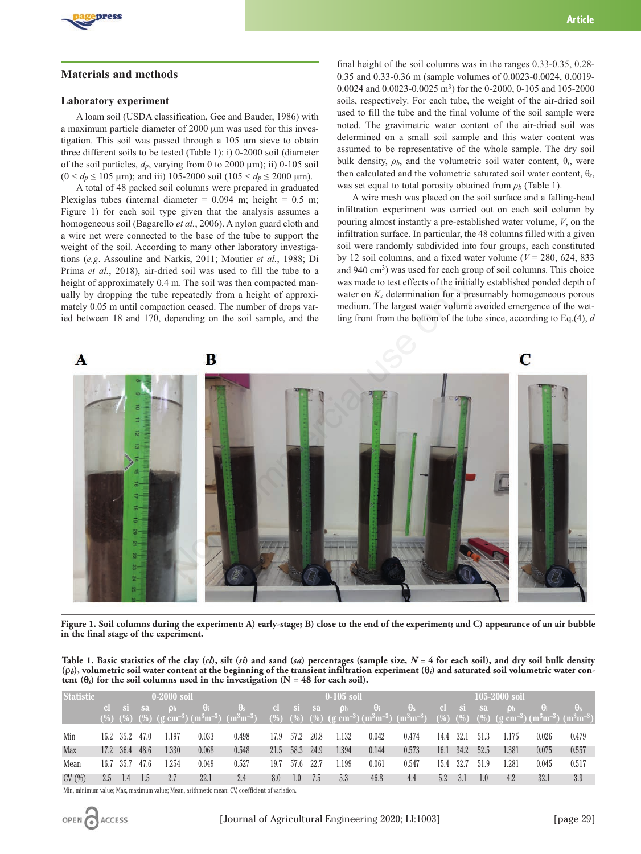

# **Materials and methods**

## **Laboratory experiment**

A loam soil (USDA classification, Gee and Bauder, 1986) with a maximum particle diameter of 2000 µm was used for this investigation. This soil was passed through a 105 µm sieve to obtain three different soils to be tested (Table 1): i) 0-2000 soil (diameter of the soil particles,  $d_p$ , varying from 0 to 2000  $\mu$ m); ii) 0-105 soil  $(0 < d_p \le 105 \text{ }\mu\text{m})$ ; and iii) 105-2000 soil  $(105 < d_p \le 2000 \text{ }\mu\text{m})$ .

A total of 48 packed soil columns were prepared in graduated Plexiglas tubes (internal diameter =  $0.094$  m; height =  $0.5$  m; Figure 1) for each soil type given that the analysis assumes a homogeneous soil (Bagarello *et al.*, 2006). A nylon guard cloth and a wire net were connected to the base of the tube to support the weight of the soil. According to many other laboratory investigations (*e.g*. Assouline and Narkis, 2011; Moutier *et al.*, 1988; Di Prima *et al.*, 2018), air-dried soil was used to fill the tube to a height of approximately 0.4 m. The soil was then compacted manually by dropping the tube repeatedly from a height of approximately 0.05 m until compaction ceased. The number of drops varied between 18 and 170, depending on the soil sample, and the

final height of the soil columns was in the ranges 0.33-0.35, 0.28- 0.35 and 0.33-0.36 m (sample volumes of 0.0023-0.0024, 0.0019- 0.0024 and 0.0023-0.0025 m3) for the 0-2000, 0-105 and 105-2000 soils, respectively. For each tube, the weight of the air-dried soil used to fill the tube and the final volume of the soil sample were noted. The gravimetric water content of the air-dried soil was determined on a small soil sample and this water content was assumed to be representative of the whole sample. The dry soil bulk density,  $ρ<sub>b</sub>$ , and the volumetric soil water content,  $θ<sub>i</sub>$ , were then calculated and the volumetric saturated soil water content, θ*s*, was set equal to total porosity obtained from *ρb* (Table 1).

A wire mesh was placed on the soil surface and a falling-head infiltration experiment was carried out on each soil column by pouring almost instantly a pre-established water volume, *V*, on the infiltration surface. In particular, the 48 columns filled with a given soil were randomly subdivided into four groups, each constituted by 12 soil columns, and a fixed water volume  $(V = 280, 624, 833)$ and 940 cm3) was used for each group of soil columns. This choice was made to test effects of the initially established ponded depth of water on  $K_s$  determination for a presumably homogeneous porous medium. The largest water volume avoided emergence of the wetting front from the bottom of the tube since, according to Eq.(4), *d*



**Figure 1. Soil columns during the experiment: A) early-stage; B) close to the end of the experiment; and C) appearance of an air bubble in the final stage of the experiment.**

**Table 1. Basic statistics of the clay (***cl***), silt (***si***) and sand (***sa***) percentages (sample size,** *N* **= 4 for each soil), and dry soil bulk density (**ρ*b***), volumetric soil water content at the beginning of the transient infiltration experiment (**θ*i***) and saturated soil volumetric water con**tent  $(\theta_s)$  for the soil columns used in the investigation (N = 48 for each soil).

| <b>Statistic</b> | $0-2000$ soil |           |      |                             | $0-105$ soil                                                                                                                                                                                                                               |       |      |       | 105-2000 soil |          |                                        |                   |      |       |      |                       |          |       |
|------------------|---------------|-----------|------|-----------------------------|--------------------------------------------------------------------------------------------------------------------------------------------------------------------------------------------------------------------------------------------|-------|------|-------|---------------|----------|----------------------------------------|-------------------|------|-------|------|-----------------------|----------|-------|
|                  |               | cl si     | sa   | $\overline{O}$ <sub>b</sub> |                                                                                                                                                                                                                                            | 70s.  |      | cl si | sa            | $\rho_b$ | $\sqrt{\theta}$ i $\sqrt{\frac{1}{2}}$ | 7θ <sub>s</sub> z |      | cl si | sa   | $\Omega$ <sub>b</sub> | $\theta$ |       |
|                  |               |           |      |                             | $\frac{(\%) (\%) (\%) (\%) (q cm^{-3}) (m^3 m^{-3}) (m^3 m^{-3})}{(m^3 m^{-3}) (m^3 m^{-3}) (m^3 m^{-3}) (m^3 m^{-3}) (m^3 m^{-3})}$ (%) (%) (%) (g cm <sup>-3</sup> ) (m <sup>3</sup> m <sup>-3</sup> ) (m <sup>3</sup> m <sup>-3</sup> ) |       |      |       |               |          |                                        |                   |      |       |      |                       |          |       |
| Min              |               | 16.2 35.2 | 47.0 | 1.197                       | 0.033                                                                                                                                                                                                                                      | 0.498 | 17.9 | 57.2  | 20.8          | 1.132    | 0.042                                  | 0.474             | 14.4 | -32.1 | 51.3 | 1.175                 | 0.026    | 0.479 |
| <b>Max</b>       |               | 17.2 36.4 | 48.6 | .330                        | 0.068                                                                                                                                                                                                                                      | 0.548 | 21.5 | 58.3  | 24.9          | 1.394    | 0.144                                  | 0.573             | 16.1 | 34.2  | 52.5 | 1.381                 | 0.075    | 0.557 |
| Mean             | 16.7 35.7     |           | 47.6 | .254                        | 0.049                                                                                                                                                                                                                                      | 0.527 | 19.7 | 57.6  | 22.7          | .199     | 0.061                                  | 0.547             | 15.4 | 32.7  | 51.9 | 1.281                 | 0.045    | 0.517 |
| CV(%)            | 2.5           | 1.4       | 1.5  | 2.7                         | 22.1                                                                                                                                                                                                                                       | 2.4   | 8.0  | 1.0   | 7.5           | 5.3      | 46.8                                   | 4.4               | 5.2  | -3.1  | 1.0  | 4.2                   | 32.1     | 3.9   |
|                  |               |           |      |                             | Alle activities in the Alexander and the Alexander and the client of the CMI and CMI started alleged the started                                                                                                                           |       |      |       |               |          |                                        |                   |      |       |      |                       |          |       |

hum value; Max, maximum value; Mean, arithmetic mean; CV, coefficient of variation.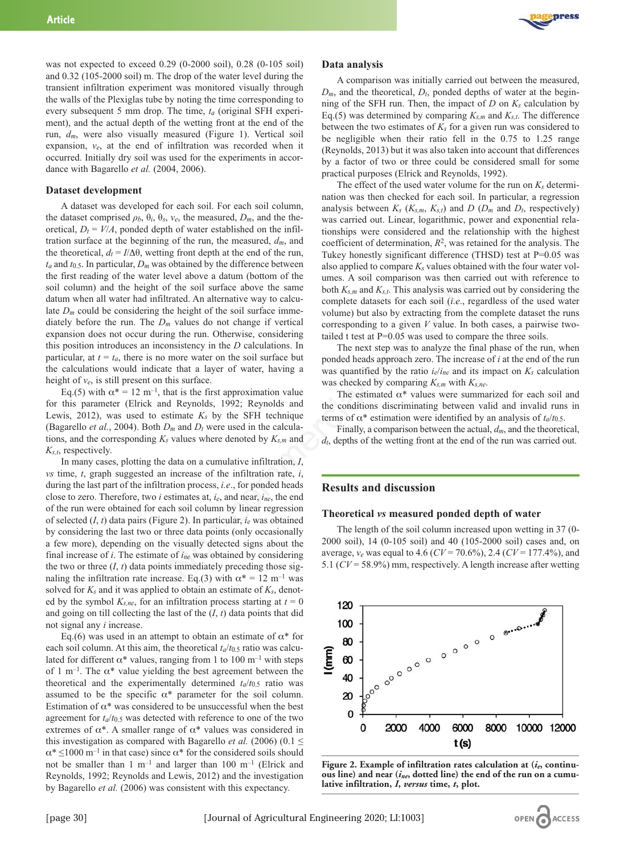

was not expected to exceed 0.29 (0-2000 soil), 0.28 (0-105 soil) and 0.32 (105-2000 soil) m. The drop of the water level during the transient infiltration experiment was monitored visually through the walls of the Plexiglas tube by noting the time corresponding to every subsequent 5 mm drop. The time, *ta* (original SFH experiment), and the actual depth of the wetting front at the end of the run, *dm*, were also visually measured (Figure 1). Vertical soil expansion, *ve*, at the end of infiltration was recorded when it occurred. Initially dry soil was used for the experiments in accordance with Bagarello et al. (2004, 2006).

## **Dataset development**

A dataset was developed for each soil. For each soil column, the dataset comprised  $\rho_b$ ,  $\theta_i$ ,  $\theta_s$ ,  $\nu_e$ , the measured,  $D_m$ , and the theoretical,  $D_t = V/A$ , ponded depth of water established on the infiltration surface at the beginning of the run, the measured, *dm*, and the theoretical,  $d_t = I/\Delta\theta$ , wetting front depth at the end of the run,  $t_a$  and  $t_{0.5}$ . In particular,  $D_m$  was obtained by the difference between the first reading of the water level above a datum (bottom of the soil column) and the height of the soil surface above the same datum when all water had infiltrated. An alternative way to calculate  $D_m$  could be considering the height of the soil surface immediately before the run. The *Dm* values do not change if vertical expansion does not occur during the run. Otherwise, considering this position introduces an inconsistency in the *D* calculations. In particular, at  $t = t_a$ , there is no more water on the soil surface but the calculations would indicate that a layer of water, having a height of *ve*, is still present on this surface.

Eq.(5) with  $\alpha^* = 12$  m<sup>-1</sup>, that is the first approximation value for this parameter (Elrick and Reynolds, 1992; Reynolds and Lewis, 2012), was used to estimate  $K_s$  by the SFH technique (Bagarello *et al.*, 2004). Both *Dm* and *Dt* were used in the calculations, and the corresponding  $K_s$  values where denoted by  $K_{s,m}$  and *Ks,t*, respectively.

In many cases, plotting the data on a cumulative infiltration, *I*, *vs* time, *t*, graph suggested an increase of the infiltration rate, *i*, during the last part of the infiltration process, *i.e*., for ponded heads close to zero. Therefore, two *i* estimates at, *ie*, and near, *ine*, the end of the run were obtained for each soil column by linear regression of selected (*I*, *t*) data pairs (Figure 2). In particular, *ie* was obtained by considering the last two or three data points (only occasionally a few more), depending on the visually detected signs about the final increase of *i*. The estimate of *ine* was obtained by considering the two or three  $(I, t)$  data points immediately preceding those signaling the infiltration rate increase. Eq.(3) with  $\alpha^* = 12 \text{ m}^{-1}$  was solved for  $K_s$  and it was applied to obtain an estimate of  $K_s$ , denoted by the symbol  $K_{s,ne}$ , for an infiltration process starting at  $t = 0$ and going on till collecting the last of the (*I*, *t*) data points that did not signal any *i* increase. For above a datam (bottom in the times. A soli comparison was then can<br>
if the soil surface above the same<br>
hoth  $K_{s,m}$  and  $K_{\xi,\ell}$ . This analysis was carr<br>
trated. An alternative way to calcu-<br>
tooline beight of the s

Eq.(6) was used in an attempt to obtain an estimate of  $\alpha^*$  for each soil column. At this aim, the theoretical *ta*/*t*0.5 ratio was calculated for different  $\alpha^*$  values, ranging from 1 to 100 m<sup>-1</sup> with steps of 1 m<sup>-1</sup>. The  $\alpha^*$  value yielding the best agreement between the theoretical and the experimentally determined *ta*/*t*0.5 ratio was assumed to be the specific  $\alpha^*$  parameter for the soil column. Estimation of  $\alpha^*$  was considered to be unsuccessful when the best agreement for *ta*/*t*0.5 was detected with reference to one of the two extremes of  $\alpha^*$ . A smaller range of  $\alpha^*$  values was considered in this investigation as compared with Bagarello *et al.* (2006) (0.1  $\leq$  $\alpha^* \le 1000$  m<sup>-1</sup> in that case) since  $\alpha^*$  for the considered soils should not be smaller than 1  $m^{-1}$  and larger than 100  $m^{-1}$  (Elrick and Reynolds, 1992; Reynolds and Lewis, 2012) and the investigation by Bagarello *et al.* (2006) was consistent with this expectancy.

## **Data analysis**

A comparison was initially carried out between the measured,  $D_m$ , and the theoretical,  $D_t$ , ponded depths of water at the beginning of the SFH run. Then, the impact of *D* on *Ks* calculation by Eq.(5) was determined by comparing *Ks,m* and *Ks,t*. The difference between the two estimates of  $K_s$  for a given run was considered to be negligible when their ratio fell in the 0.75 to 1.25 range (Reynolds, 2013) but it was also taken into account that differences by a factor of two or three could be considered small for some practical purposes (Elrick and Reynolds, 1992).

The effect of the used water volume for the run on  $K_s$  determination was then checked for each soil. In particular, a regression analysis between  $K_s$  ( $K_{s,m}$ ,  $K_{s,t}$ ) and  $D$  ( $D_m$  and  $D_t$ , respectively) was carried out. Linear, logarithmic, power and exponential relationships were considered and the relationship with the highest coefficient of determination,  $R^2$ , was retained for the analysis. The Tukey honestly significant difference (THSD) test at P=0.05 was also applied to compare  $K_s$  values obtained with the four water volumes. A soil comparison was then carried out with reference to both *Ks,m* and *Ks,t*. This analysis was carried out by considering the complete datasets for each soil (*i.e*., regardless of the used water volume) but also by extracting from the complete dataset the runs corresponding to a given *V* value. In both cases, a pairwise twotailed t test at P=0.05 was used to compare the three soils.

The next step was to analyze the final phase of the run, when ponded heads approach zero. The increase of *i* at the end of the run was quantified by the ratio *ie*/*ine* and its impact on *Ks* calculation was checked by comparing *Ks,m* with *Ks,ne*.

The estimated  $\alpha^*$  values were summarized for each soil and the conditions discriminating between valid and invalid runs in terms of  $\alpha^*$  estimation were identified by an analysis of  $t_a/t_{0.5}$ .

Finally, a comparison between the actual, *dm*, and the theoretical, *dt*, depths of the wetting front at the end of the run was carried out.

#### **Results and discussion**

#### **Theoretical** *vs* **measured ponded depth of water**

The length of the soil column increased upon wetting in 37 (0- 2000 soil), 14 (0-105 soil) and 40 (105-2000 soil) cases and, on average, *ve* was equal to 4.6 (*CV* = 70.6%), 2.4 (*CV* = 177.4%), and 5.1 (*CV* = 58.9%) mm, respectively. A length increase after wetting



**Figure 2. Example of infiltration rates calculation at (***ie***, continuous line) and near (***ine***, dotted line) the end of the run on a cumulative infiltration,** *I***,** *versus* **time,** *t***, plot.**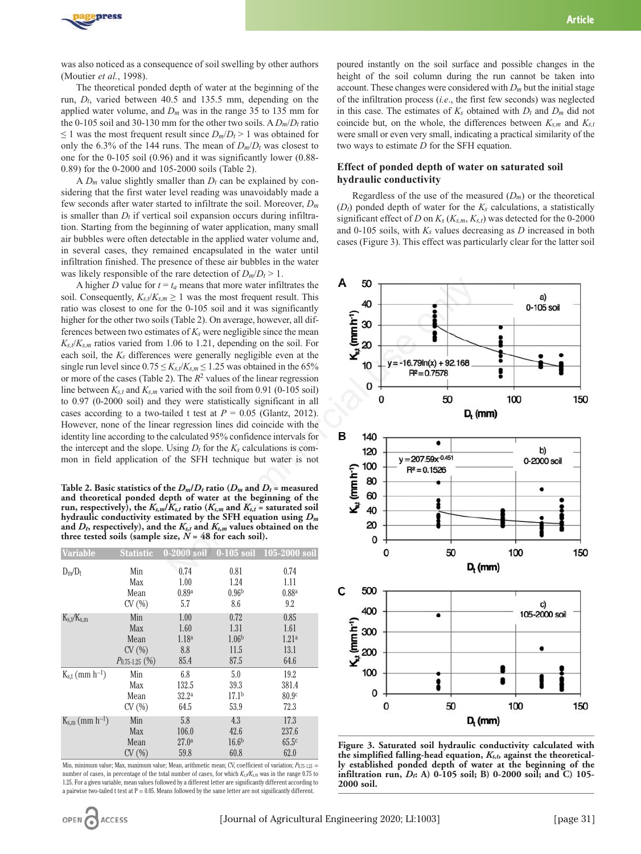

was also noticed as a consequence of soil swelling by other authors (Moutier *et al.*, 1998).

The theoretical ponded depth of water at the beginning of the run, *Dt*, varied between 40.5 and 135.5 mm, depending on the applied water volume, and *Dm* was in the range 35 to 135 mm for the 0-105 soil and 30-130 mm for the other two soils. A  $D_m/D_t$  ratio ≤ 1 was the most frequent result since  $D_m/D_t$  > 1 was obtained for only the 6.3% of the 144 runs. The mean of  $D_m/D_t$  was closest to one for the 0-105 soil (0.96) and it was significantly lower (0.88- 0.89) for the 0-2000 and 105-2000 soils (Table 2).

A  $D_m$  value slightly smaller than  $D_t$  can be explained by considering that the first water level reading was unavoidably made a few seconds after water started to infiltrate the soil. Moreover, *Dm* is smaller than  $D_t$  if vertical soil expansion occurs during infiltration. Starting from the beginning of water application, many small air bubbles were often detectable in the applied water volume and, in several cases, they remained encapsulated in the water until infiltration finished. The presence of these air bubbles in the water was likely responsible of the rare detection of  $D_m/D_t > 1$ .

A higher *D* value for  $t = t_a$  means that more water infiltrates the soil. Consequently,  $K_{s,t}/K_{s,m} \geq 1$  was the most frequent result. This ratio was closest to one for the 0-105 soil and it was significantly higher for the other two soils (Table 2). On average, however, all differences between two estimates of  $K_s$  were negligible since the mean  $K_{s,t}/K_{s,m}$  ratios varied from 1.06 to 1.21, depending on the soil. For each soil, the *Ks* differences were generally negligible even at the single run level since  $0.75 \leq K_{s,t}/K_{s,m} \leq 1.25$  was obtained in the 65% or more of the cases (Table 2). The  $R^2$  values of the linear regression line between  $K_{s,t}$  and  $K_{s,m}$  varied with the soil from 0.91 (0-105 soil) to 0.97 (0-2000 soil) and they were statistically significant in all cases according to a two-tailed t test at  $P = 0.05$  (Glantz, 2012). However, none of the linear regression lines did coincide with the identity line according to the calculated 95% confidence intervals for the intercept and the slope. Using  $D_t$  for the  $K_s$  calculations is common in field application of the SFH technique but water is not

Table 2. Basic statistics of the  $D_m/D_t$  ratio ( $D_m$  and  $D_t$  = measured **and theoretical ponded depth of water at the beginning of the** run, respectively), the  $K_{s,m}/K_{s,t}$  ratio ( $K_{s,m}$  and  $K_{s,t}$  = saturated soil **hydraulic conductivity estimated by the SFH equation using** *Dm* and  $D_t$ , respectively), and the  $K_{s,t}$  and  $K_{s,m}$  values obtained on the three tested soils (sample size,  $N = 48$  for each soil).

| <b>Variable</b>                 | <b>Statistic</b>    | $0-200\overline{0}$ soil |                   | $0-105$ soil $105-2000$ soil |
|---------------------------------|---------------------|--------------------------|-------------------|------------------------------|
| $D_m/D_t$                       | Min                 | 0.74                     | 0.81              | 0.74                         |
|                                 | Max                 | 1.00                     | 1.24              | 1.11                         |
|                                 | Mean                | 0.89a                    | 0.96 <sup>b</sup> | 0.88 <sup>a</sup>            |
|                                 | CV(%)               | 5.7                      | 8.6               | 9.2                          |
| $K_{s,t}/K_{s,m}$               | Min                 | 1.00                     | 0.72              | 0.85                         |
|                                 | Max                 | 1.60                     | 1.31              | 1.61                         |
|                                 | Mean                | 1.18 <sup>a</sup>        | 1.06 <sup>b</sup> | 1.21 <sup>a</sup>            |
|                                 | CV(%)               | 8.8                      | 11.5              | 13.1                         |
|                                 | $P_{0.75-1.25}$ (%) | 85.4                     | 87.5              | 64.6                         |
| $K_{s,t}$ (mm h <sup>-1</sup> ) | Min                 | 6.8                      | 5.0               | 19.2                         |
|                                 | Max                 | 132.5                    | 39.3              | 381.4                        |
|                                 | Mean                | 32.2 <sup>a</sup>        | 17.1 <sup>b</sup> | 80.9 <sup>c</sup>            |
|                                 | CV(%)               | 64.5                     | 53.9              | 72.3                         |
| $K_{s,m}$ (mm h <sup>-1</sup> ) | Min                 | 5.8                      | 4.3               | 17.3                         |
|                                 | Max                 | 106.0                    | 42.6              | 237.6                        |
|                                 | Mean                | 27.0 <sup>a</sup>        | 16.6 <sup>b</sup> | 65.5c                        |
|                                 | CV(%)               | 59.8                     | 60.8              | 62.0                         |

Min, minimum value; Max, maximum value; Mean, arithmetic mean; CV, coefficient of variation;  $P_{0.75-1.25}$  = number of cases, in percentage of the total number of cases, for which  $K_S/K_{S,M}$  was in the range 0.75 to 1.25. For a given variable, mean values followed by a different letter are significantly different according to a pairwise two-tailed t test at  $P = 0.05$ . Means followed by the same letter are not significantly different.

poured instantly on the soil surface and possible changes in the height of the soil column during the run cannot be taken into account. These changes were considered with  $D_m$  but the initial stage of the infiltration process (*i.e*., the first few seconds) was neglected in this case. The estimates of  $K_s$  obtained with  $D_t$  and  $D_m$  did not coincide but, on the whole, the differences between  $K_{s,m}$  and  $K_{s,t}$ were small or even very small, indicating a practical similarity of the two ways to estimate *D* for the SFH equation.

# **Effect of ponded depth of water on saturated soil hydraulic conductivity**

Regardless of the use of the measured  $(D_m)$  or the theoretical  $(D_t)$  ponded depth of water for the  $K_s$  calculations, a statistically significant effect of *D* on  $K_s$  ( $K_{s,m}$ ,  $K_{s,t}$ ) was detected for the 0-2000 and 0-105 soils, with *Ks* values decreasing as *D* increased in both cases (Figure 3). This effect was particularly clear for the latter soil



**Figure 3. Saturated soil hydraulic conductivity calculated with the simplified falling-head equation,** *Ks,t,* **against the theoretically established ponded depth of water at the beginning of the infiltration run,** *Dt***: A) 0-105 soil; B) 0-2000 soil; and C) 105- 2000 soil.**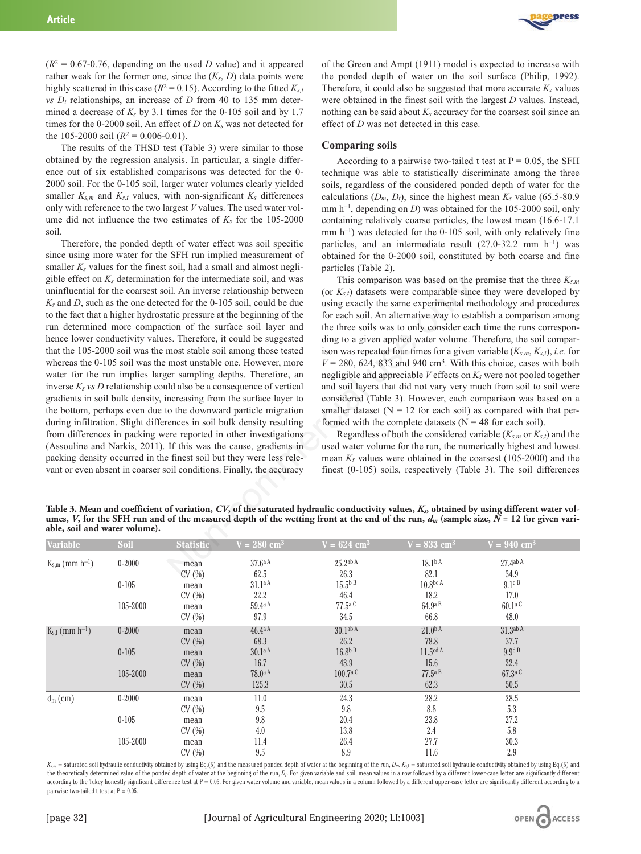$(R^2 = 0.67 - 0.76$ , depending on the used *D* value) and it appeared rather weak for the former one, since the  $(K_s, D)$  data points were highly scattered in this case ( $R^2 = 0.15$ ). According to the fitted  $K_{s,t}$ *vs*  $D_t$  relationships, an increase of *D* from 40 to 135 mm determined a decrease of  $K_s$  by 3.1 times for the 0-105 soil and by 1.7 times for the 0-2000 soil. An effect of *D* on *Ks* was not detected for the 105-2000 soil ( $R^2 = 0.006$ -0.01).

The results of the THSD test (Table 3) were similar to those obtained by the regression analysis. In particular, a single difference out of six established comparisons was detected for the 0- 2000 soil. For the 0-105 soil, larger water volumes clearly yielded smaller  $K_{s,m}$  and  $K_{s,t}$  values, with non-significant  $K_s$  differences only with reference to the two largest *V* values. The used water volume did not influence the two estimates of  $K_s$  for the 105-2000 soil.

Therefore, the ponded depth of water effect was soil specific since using more water for the SFH run implied measurement of smaller  $K_s$  values for the finest soil, had a small and almost negligible effect on *Ks* determination for the intermediate soil, and was uninfluential for the coarsest soil. An inverse relationship between *Ks* and *D*, such as the one detected for the 0-105 soil, could be due to the fact that a higher hydrostatic pressure at the beginning of the run determined more compaction of the surface soil layer and hence lower conductivity values. Therefore, it could be suggested that the 105-2000 soil was the most stable soil among those tested whereas the 0-105 soil was the most unstable one. However, more water for the run implies larger sampling depths. Therefore, an inverse *Ks vs D* relationship could also be a consequence of vertical gradients in soil bulk density, increasing from the surface layer to the bottom, perhaps even due to the downward particle migration during infiltration. Slight differences in soil bulk density resulting from differences in packing were reported in other investigations (Assouline and Narkis, 2011). If this was the cause, gradients in packing density occurred in the finest soil but they were less relevant or even absent in coarser soil conditions. Finally, the accuracy not the intermediate sol, and was a<br>
This comparison was based on the principal the comparison was based on the point<br>
id. An inverse relationship between (or  $K_{s,t}$ ) datasets were comparable since<br>
teted for the 0-105 s

of the Green and Ampt (1911) model is expected to increase with the ponded depth of water on the soil surface (Philip, 1992). Therefore, it could also be suggested that more accurate  $K_s$  values were obtained in the finest soil with the largest *D* values. Instead, nothing can be said about  $K_s$  accuracy for the coarsest soil since an effect of *D* was not detected in this case.

#### **Comparing soils**

According to a pairwise two-tailed t test at  $P = 0.05$ , the SFH technique was able to statistically discriminate among the three soils, regardless of the considered ponded depth of water for the calculations  $(D_m, D_t)$ , since the highest mean  $K_s$  value (65.5-80.9) mm  $h^{-1}$ , depending on *D*) was obtained for the 105-2000 soil, only containing relatively coarse particles, the lowest mean (16.6-17.1 mm  $h^{-1}$ ) was detected for the 0-105 soil, with only relatively fine particles, and an intermediate result  $(27.0-32.2 \text{ mm/h}^{-1})$  was obtained for the 0-2000 soil, constituted by both coarse and fine particles (Table 2).

This comparison was based on the premise that the three *Ks,m* (or  $K_{s,t}$ ) datasets were comparable since they were developed by using exactly the same experimental methodology and procedures for each soil. An alternative way to establish a comparison among the three soils was to only consider each time the runs corresponding to a given applied water volume. Therefore, the soil comparison was repeated four times for a given variable (*Ks,m*, *Ks,t*), *i.e*. for  $V = 280, 624, 833$  and 940 cm<sup>3</sup>. With this choice, cases with both negligible and appreciable *V* effects on *Ks* were not pooled together and soil layers that did not vary very much from soil to soil were considered (Table 3). However, each comparison was based on a smaller dataset ( $N = 12$  for each soil) as compared with that performed with the complete datasets ( $N = 48$  for each soil).

Regardless of both the considered variable  $(K_{s,m}$  or  $K_{s,t}$ ) and the used water volume for the run, the numerically highest and lowest mean  $K_s$  values were obtained in the coarsest (105-2000) and the finest (0-105) soils, respectively (Table 3). The soil differences

**Table 3. Mean and coefficient of variation,** *CV***, of the saturated hydraulic conductivity values,** *Ks***, obtained by using different water vol**umes, *V*, for the SFH run and of the measured depth of the wetting front at the end of the run,  $d_m$  (sample size,  $\tilde{N} = 12$  for given vari**able, soil and water volume).**

| <b>Variable</b>                 | Soil       | <b>Statistic</b> | $V = 280$ cm <sup>3</sup> | $V = 624$ cm <sup>3</sup>   | $V = 833$ cm <sup>3</sup> | $V = 940$ cm <sup>3</sup> |  |
|---------------------------------|------------|------------------|---------------------------|-----------------------------|---------------------------|---------------------------|--|
| $K_{s,m}$ (mm $h^{-1}$ )        | $0 - 2000$ | mean<br>CV(%)    | 37.6aA<br>62.5            | $25.2^{ab}$ A<br>26.3       | $18.1^{bA}$<br>82.1       | $27.4^{ab}$ A<br>34.9     |  |
|                                 | $0 - 105$  | mean<br>CV(%)    | 31.1aA<br>22.2            | 15.5 <sup>b B</sup><br>46.4 | $10.8$ bc A<br>18.2       | 9.1cB<br>17.0             |  |
|                                 | 105-2000   | mean<br>CV(%)    | 59.4aA<br>97.9            | 77.5aC<br>34.5              | 64.9a B<br>66.8           | 60.1aC<br>48.0            |  |
| $K_{s,t}$ (mm h <sup>-1</sup> ) | $0 - 2000$ | mean             | 46.4aA                    | 30.1 <sup>ab A</sup>        | 21.0 <sup>b A</sup>       | $31.3$ ab A               |  |
|                                 |            | CV(%)            | 68.3                      | 26.2                        | 78.8                      | 37.7                      |  |
|                                 | $0 - 105$  | mean             | 30.1aA                    | 16.8 <sup>b B</sup>         | $11.5^{\text{cd A}}$      | 9.9dB                     |  |
|                                 |            | CV(%)            | 16.7                      | 43.9                        | 15.6                      | 22.4                      |  |
|                                 | 105-2000   | mean             | 78.0aA                    | $100.7^{\mathrm{a C}}$      | 77.5a B                   | 67.3ª C                   |  |
|                                 |            | CV(%)            | 125.3                     | 30.5                        | 62.3                      | 50.5                      |  |
| $d_m$ (cm)                      | $0 - 2000$ | mean             | 11.0                      | 24.3                        | 28.2                      | $28.5\,$                  |  |
|                                 |            | CV(%)            | 9.5                       | $9.8\,$                     | 8.8                       | 5.3                       |  |
|                                 | $0 - 105$  | mean             | 9.8                       | 20.4                        | 23.8                      | 27.2                      |  |
|                                 |            | CV(%)            | 4.0                       | 13.8                        | 2.4                       | 5.8                       |  |
|                                 | 105-2000   | mean             | 11.4                      | 26.4                        | 27.7                      | 30.3                      |  |
|                                 |            | CV(%)            | 9.5                       | 8.9                         | 11.6                      | 2.9                       |  |

 $K_{5,0}$  = saturated soil hydraulic conductivity obtained by using Eq.(5) and the measured ponded depth of water at the beginning of the run,  $D_{m}$ ,  $K_{5,1}$  = saturated soil hydraulic conductivity obtained by using Eq.( the theoretically determined value of the ponded depth of water at the beginning of the run, *D<sub>t</sub>*. For given variable and soil, mean values in a row followed by a different lower-case letter are significantly different according to the Tukey honestly significant difference test at  $P = 0.05$ . For given water volume and variable, mean values in a column followed by a different upper-case letter are significantly different according to a pairwise two-tailed t test at  $P = 0.05$ .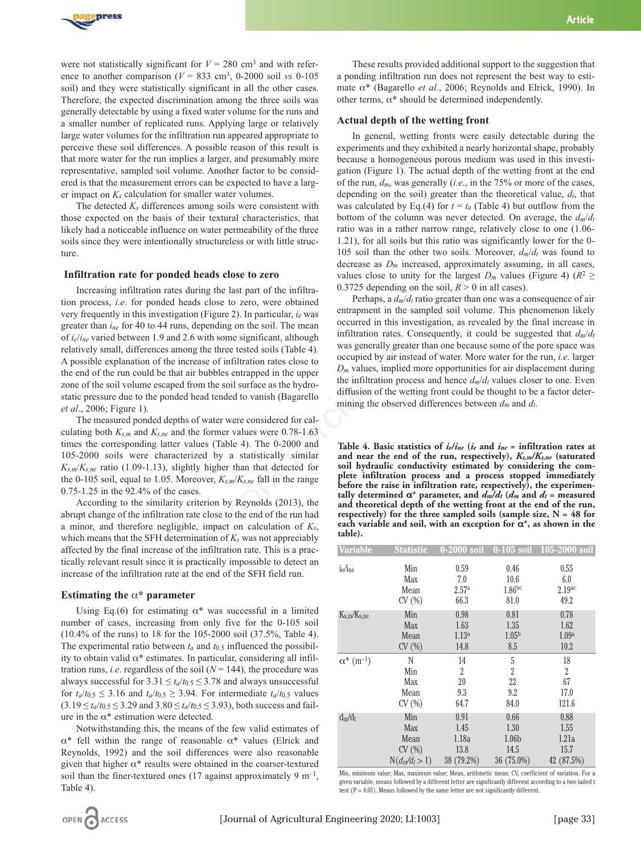

were not statistically significant for  $V = 280$  cm<sup>3</sup> and with reference to another comparison ( $V = 833$  cm<sup>3</sup>, 0-2000 soil *vs* 0-105 soil) and they were statistically significant in all the other cases. Therefore, the expected discrimination among the three soils was generally detectable by using a fixed water volume for the runs and a smaller number of replicated runs. Applying large or relatively large water volumes for the infiltration run appeared appropriate to perceive these soil differences. A possible reason of this result is that more water for the run implies a larger, and presumably more representative, sampled soil volume. Another factor to be considered is that the measurement errors can be expected to have a larger impact on *Ks* calculation for smaller water volumes.

The detected *Ks* differences among soils were consistent with those expected on the basis of their textural characteristics, that likely had a noticeable influence on water permeability of the three soils since they were intentionally structureless or with little structure.

#### **Infiltration rate for ponded heads close to zero**

Increasing infiltration rates during the last part of the infiltration process, *i.e*. for ponded heads close to zero, were obtained very frequently in this investigation (Figure 2). In particular, *ie* was greater than *ine* for 40 to 44 runs, depending on the soil. The mean of *ie*/*ine* varied between 1.9 and 2.6 with some significant, although relatively small, differences among the three tested soils (Table 4). A possible explanation of the increase of infiltration rates close to the end of the run could be that air bubbles entrapped in the upper zone of the soil volume escaped from the soil surface as the hydrostatic pressure due to the ponded head tended to vanish (Bagarello *et al*., 2006; Figure 1). Fracta cheapta to the infilitration of the infilitration (Figure 2). In particular,  $i_e$  was exero, were obtained  $P$  runs, depending on the soil,  $R > 0$  ed heads close to zero, were obtained  $P$  runs, a d<sub>m/</sub> $d_f$  ratio g

The measured ponded depths of water were considered for calculating both *Ks,m* and *Ks,ne* and the former values were 0.78-1.63 times the corresponding latter values (Table 4). The 0-2000 and 105-2000 soils were characterized by a statistically similar *Ks,m*/*Ks,ne* ratio (1.09-1.13), slightly higher than that detected for the 0-105 soil, equal to 1.05. Moreover, *Ks,m*/*Ks,ne* fall in the range 0.75-1.25 in the 92.4% of the cases.

According to the similarity criterion by Reynolds (2013), the abrupt change of the infiltration rate close to the end of the run had a minor, and therefore negligible, impact on calculation of *Ks*, which means that the SFH determination of  $K_s$  was not appreciably affected by the final increase of the infiltration rate. This is a practically relevant result since it is practically impossible to detect an increase of the infiltration rate at the end of the SFH field run.

#### **Estimating the**  $\alpha^*$  **parameter**

Using Eq.(6) for estimating  $\alpha^*$  was successful in a limited number of cases, increasing from only five for the 0-105 soil (10.4% of the runs) to 18 for the 105-2000 soil (37.5%, Table 4). The experimental ratio between  $t_a$  and  $t_0$ <sub>5</sub> influenced the possibility to obtain valid  $\alpha^*$  estimates. In particular, considering all infiltration runs, *i.e.* regardless of the soil  $(N = 144)$ , the procedure was always successful for  $3.31 \le t_a/t_{0.5} \le 3.78$  and always unsuccessful for  $t_a/t_{0.5} \leq 3.16$  and  $t_a/t_{0.5} \geq 3.94$ . For intermediate  $t_a/t_{0.5}$  values  $(3.19 \le t_a/t_0.5 \le 3.29 \text{ and } 3.80 \le t_a/t_0.5 \le 3.93)$ , both success and failure in the  $\alpha^*$  estimation were detected.

Notwithstanding this, the means of the few valid estimates of  $\alpha^*$  fell within the range of reasonable  $\alpha^*$  values (Elrick and Reynolds, 1992) and the soil differences were also reasonable given that higher  $\alpha^*$  results were obtained in the coarser-textured soil than the finer-textured ones (17 against approximately 9  $m^{-1}$ , Table 4).

These results provided additional support to the suggestion that a ponding infiltration run does not represent the best way to estimate  $\alpha^*$  (Bagarello *et al.*, 2006; Reynolds and Elrick, 1990). In other terms,  $\alpha^*$  should be determined independently.

#### **Actual depth of the wetting front**

In general, wetting fronts were easily detectable during the experiments and they exhibited a nearly horizontal shape, probably because a homogeneous porous medium was used in this investigation (Figure 1). The actual depth of the wetting front at the end of the run, *dm*, was generally (*i.e*., in the 75% or more of the cases, depending on the soil) greater than the theoretical value,  $d_t$ , that was calculated by Eq.(4) for  $t = t_a$  (Table 4) but outflow from the bottom of the column was never detected. On average, the *dm*/*dt* ratio was in a rather narrow range, relatively close to one (1.06- 1.21), for all soils but this ratio was significantly lower for the 0- 105 soil than the other two soils. Moreover,  $d_m/d_t$  was found to decrease as  $D_m$  increased, approximately assuming, in all cases, values close to unity for the largest  $D_m$  values (Figure 4) ( $R^2 \geq$ 0.3725 depending on the soil,  $R > 0$  in all cases).

Perhaps, a  $d_m/d_t$  ratio greater than one was a consequence of air entrapment in the sampled soil volume. This phenomenon likely occurred in this investigation, as revealed by the final increase in infiltration rates. Consequently, it could be suggested that *dm*/*dt* was generally greater than one because some of the pore space was occupied by air instead of water. More water for the run, *i.e*. larger *Dm* values, implied more opportunities for air displacement during the infiltration process and hence  $d_m/d_t$  values closer to one. Even diffusion of the wetting front could be thought to be a factor determining the observed differences between *dm* and *dt*.

**Table 4. Basic statistics of** *ie/ine* **(***ie* **and** *ine* **= infiltration rates at and near the end of the run, respectively),** *Ks,m/Ks,ne* **(saturated soil hydraulic conductivity estimated by considering the complete infiltration process and a process stopped immediately before the raise in infiltration rate, respectively), the experimentally determined**  $\alpha^*$  **parameter, and**  $d_m/d_t$  **(** $d_m$  **and**  $d_t$  **= measured and theoretical depth of the wetting front at the end of the run, respectively) for the three sampled soils (sample size, N = 48 for** each variable and soil, with an exception for  $\alpha^*$ , as shown in the **table).**

| <b>Variable</b>               | <b>Statistic</b> | 0-2000 soil       | $0-105$ soil       | 105-2000 soil        |
|-------------------------------|------------------|-------------------|--------------------|----------------------|
| $i_e/i_{ne}$                  | Min              | 0.59              | 0.46               | 0.55                 |
|                               | Max              | 7.0               | 10.6               | 6.0                  |
|                               | Mean             | 2.57 <sup>a</sup> | 1.86 <sup>bc</sup> | $2.19$ <sup>ac</sup> |
|                               | CV(%)            | 66.3              | 81.0               | 49.2                 |
| $K_{s,m}/K_{s,ne}$            | Min              | 0.98              | 0.81               | 0.78                 |
|                               | <b>Max</b>       | 1.63              | 1.35               | 1.62                 |
|                               | Mean             | 1.13 <sup>a</sup> | 1.05 <sup>b</sup>  | 1.09a                |
|                               | CV(%)            | 14.8              | 8.5                | 10.2                 |
| $\alpha^*$ (m <sup>-1</sup> ) | N                | 14                | 5                  | 18                   |
|                               | Min              | $\overline{2}$    | $\overline{2}$     | $\overline{2}$       |
|                               | Max              | 20                | 22                 | 67                   |
|                               | Mean             | 9.3               | 9.2                | 17.0                 |
|                               | CV(%)            | 64.7              | 84.0               | 121.6                |
| $d_m/d_t$                     | Min              | 0.91              | 0.66               | 0.88                 |
|                               | Max              | 1.45              | 1.30               | 1.55                 |
|                               | Mean             | 1.18a             | 1.06b              | 1.21a                |
|                               | CV(%)            | 13.8              | 14.5               | 15.7                 |
|                               | $N(d_m/d_t > 1)$ | 38 (79.2%)        | 36 (75.0%)         | 42 (87.5%)           |

Min, minimum value; Max, maximum value; Mean, arithmetic mean; CV, coefficient of variation. For a given variable, means followed by a different letter are significantly different according to a two-tailed t test  $(P = 0.05)$ . Means followed by the same letter are not significantly different.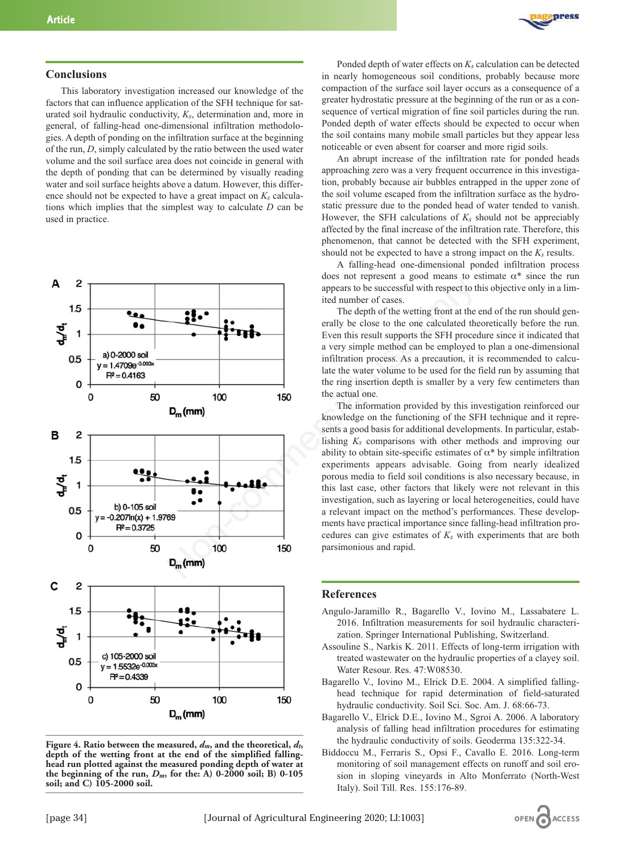

## **Conclusions**

This laboratory investigation increased our knowledge of the factors that can influence application of the SFH technique for saturated soil hydraulic conductivity, *Ks*, determination and, more in general, of falling-head one-dimensional infiltration methodologies. A depth of ponding on the infiltration surface at the beginning of the run, *D*, simply calculated by the ratio between the used water volume and the soil surface area does not coincide in general with the depth of ponding that can be determined by visually reading water and soil surface heights above a datum. However, this difference should not be expected to have a great impact on  $K_s$  calculations which implies that the simplest way to calculate *D* can be used in practice.



**Figure 4. Ratio between the measured,**  $d_m$ **, and the theoretical,**  $d_b$ **depth of the wetting front at the end of the simplified fallinghead run plotted against the measured ponding depth of water at** the beginning of the run,  $D_m$ , for the: A) 0-2000 soil; B) 0-105 **soil; and C) 105-2000 soil.**

Ponded depth of water effects on *Ks* calculation can be detected in nearly homogeneous soil conditions, probably because more compaction of the surface soil layer occurs as a consequence of a greater hydrostatic pressure at the beginning of the run or as a consequence of vertical migration of fine soil particles during the run. Ponded depth of water effects should be expected to occur when the soil contains many mobile small particles but they appear less noticeable or even absent for coarser and more rigid soils.

An abrupt increase of the infiltration rate for ponded heads approaching zero was a very frequent occurrence in this investigation, probably because air bubbles entrapped in the upper zone of the soil volume escaped from the infiltration surface as the hydrostatic pressure due to the ponded head of water tended to vanish. However, the SFH calculations of *Ks* should not be appreciably affected by the final increase of the infiltration rate. Therefore, this phenomenon, that cannot be detected with the SFH experiment, should not be expected to have a strong impact on the  $K_s$  results.

A falling-head one-dimensional ponded infiltration process does not represent a good means to estimate  $\alpha^*$  since the run appears to be successful with respect to this objective only in a limited number of cases.

The depth of the wetting front at the end of the run should generally be close to the one calculated theoretically before the run. Even this result supports the SFH procedure since it indicated that a very simple method can be employed to plan a one-dimensional infiltration process. As a precaution, it is recommended to calculate the water volume to be used for the field run by assuming that the ring insertion depth is smaller by a very few centimeters than the actual one.

The information provided by this investigation reinforced our knowledge on the functioning of the SFH technique and it represents a good basis for additional developments. In particular, establishing *Ks* comparisons with other methods and improving our ability to obtain site-specific estimates of  $\alpha^*$  by simple infiltration experiments appears advisable. Going from nearly idealized porous media to field soil conditions is also necessary because, in this last case, other factors that likely were not relevant in this investigation, such as layering or local heterogeneities, could have a relevant impact on the method's performances. These developments have practical importance since falling-head infiltration procedures can give estimates of  $K_s$  with experiments that are both parsimonious and rapid.

### **References**

- Angulo-Jaramillo R., Bagarello V., Iovino M., Lassabatere L. 2016. Infiltration measurements for soil hydraulic characterization. Springer International Publishing, Switzerland.
- Assouline S., Narkis K. 2011. Effects of long-term irrigation with treated wastewater on the hydraulic properties of a clayey soil. Water Resour. Res. 47:W08530.
- Bagarello V., Iovino M., Elrick D.E. 2004. A simplified fallinghead technique for rapid determination of field-saturated hydraulic conductivity. Soil Sci. Soc. Am. J. 68:66-73.
- Bagarello V., Elrick D.E., Iovino M., Sgroi A. 2006. A laboratory analysis of falling head infiltration procedures for estimating the hydraulic conductivity of soils. Geoderma 135:322-34.
- Biddoccu M., Ferraris S., Opsi F., Cavallo E. 2016. Long-term monitoring of soil management effects on runoff and soil erosion in sloping vineyards in Alto Monferrato (North-West Italy). Soil Till. Res. 155:176-89.